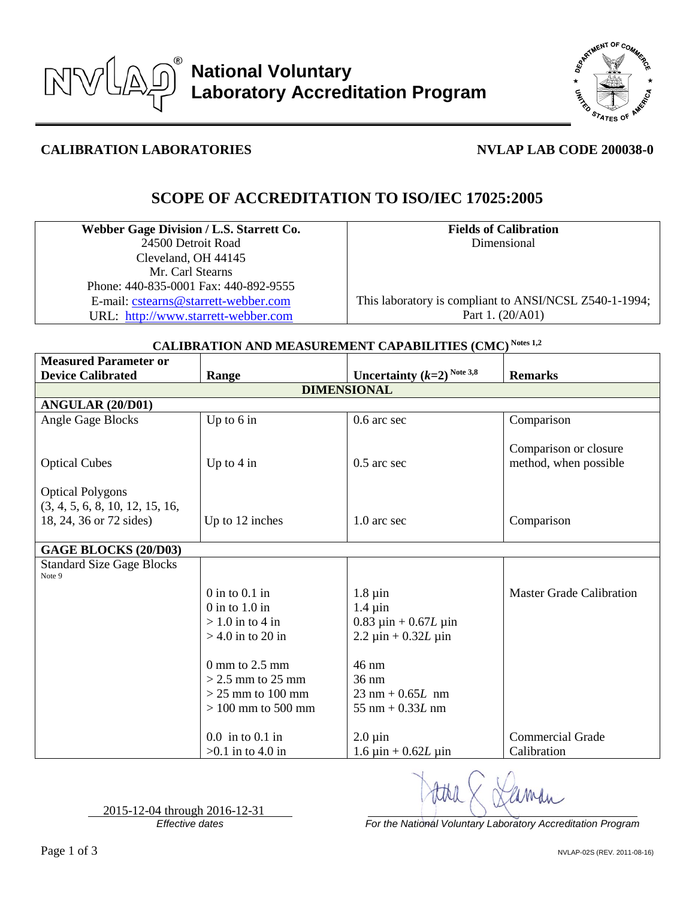



## **CALIBRATION LABORATORIES NVLAP LAB CODE 200038-0**

# **SCOPE OF ACCREDITATION TO ISO/IEC 17025:2005**

| Webber Gage Division / L.S. Starrett Co. |
|------------------------------------------|
| 24500 Detroit Road                       |
| Cleveland, OH 44145                      |
| Mr. Carl Stearns                         |
| Phone: 440-835-0001 Fax: 440-892-9555    |
| E-mail: cstearns@starrett-webber.com     |
| URL: http://www.starrett-webber.com      |

**Fields of Calibration** Dimensional

This laboratory is compliant to ANSI/NCSL Z540-1-1994; Part 1. (20/A01)

### **CALIBRATION AND MEASUREMENT CAPABILITIES (CMC) Notes 1,2**

| <b>Measured Parameter or</b>                               |                                                                                                                                                                                                  |                                                                                                                                                                                                                                                         |                                                |  |  |
|------------------------------------------------------------|--------------------------------------------------------------------------------------------------------------------------------------------------------------------------------------------------|---------------------------------------------------------------------------------------------------------------------------------------------------------------------------------------------------------------------------------------------------------|------------------------------------------------|--|--|
| <b>Device Calibrated</b>                                   | Range                                                                                                                                                                                            | Uncertainty $(k=2)^{Note 3,8}$                                                                                                                                                                                                                          | <b>Remarks</b>                                 |  |  |
| <b>DIMENSIONAL</b>                                         |                                                                                                                                                                                                  |                                                                                                                                                                                                                                                         |                                                |  |  |
| ANGULAR (20/D01)                                           |                                                                                                                                                                                                  |                                                                                                                                                                                                                                                         |                                                |  |  |
| Angle Gage Blocks                                          | Up to $6$ in                                                                                                                                                                                     | 0.6 arc sec                                                                                                                                                                                                                                             | Comparison                                     |  |  |
| <b>Optical Cubes</b><br><b>Optical Polygons</b>            | Up to $4$ in                                                                                                                                                                                     | $0.5$ arc sec                                                                                                                                                                                                                                           | Comparison or closure<br>method, when possible |  |  |
| (3, 4, 5, 6, 8, 10, 12, 15, 16,<br>18, 24, 36 or 72 sides) | Up to 12 inches                                                                                                                                                                                  | 1.0 arc sec                                                                                                                                                                                                                                             | Comparison                                     |  |  |
| <b>GAGE BLOCKS (20/D03)</b>                                |                                                                                                                                                                                                  |                                                                                                                                                                                                                                                         |                                                |  |  |
| <b>Standard Size Gage Blocks</b><br>Note 9                 |                                                                                                                                                                                                  |                                                                                                                                                                                                                                                         |                                                |  |  |
|                                                            | $0$ in to $0.1$ in<br>$0$ in to $1.0$ in<br>$> 1.0$ in to 4 in<br>$>$ 4.0 in to 20 in<br>$0 \text{ mm}$ to $2.5 \text{ mm}$<br>$>$ 2.5 mm to 25 mm<br>$>$ 25 mm to 100 mm<br>$>100$ mm to 500 mm | $1.8 \mu$ in<br>$1.4 \mu$ in<br>$0.83 \text{ } \mu \text{in} + 0.67L \text{ } \mu \text{in}$<br>$2.2 \mu$ in + 0.32 <i>L</i> $\mu$ in<br>$46 \text{ nm}$<br>$36 \text{ nm}$<br>$23 \text{ nm} + 0.65L \text{ nm}$<br>$55 \text{ nm} + 0.33L \text{ nm}$ | <b>Master Grade Calibration</b>                |  |  |
|                                                            | $0.0$ in to $0.1$ in<br>$>0.1$ in to 4.0 in                                                                                                                                                      | $2.0 \,\mathrm{\mu}$ in<br>$1.6 \,\text{µin} + 0.62L \,\text{µin}$                                                                                                                                                                                      | <b>Commercial Grade</b><br>Calibration         |  |  |

2015-12-04 through 2016-12-31

*Effective dates For the National Voluntary Laboratory Accreditation Program*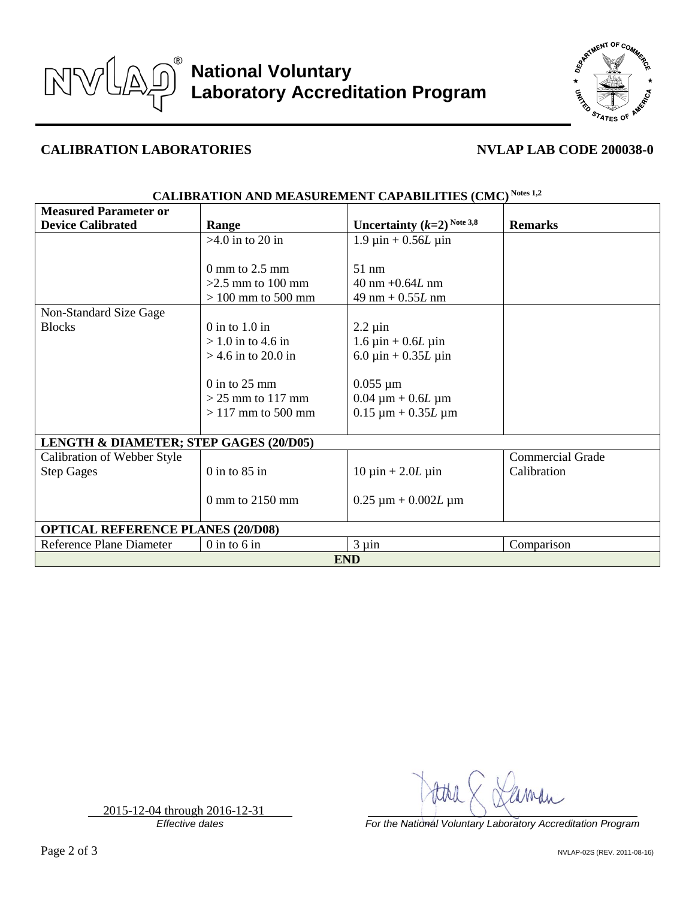



### **CALIBRATION LABORATORIES NVLAP LAB CODE 200038-0**

| <b>Measured Parameter or</b>                      |                           |                                         |                         |  |  |
|---------------------------------------------------|---------------------------|-----------------------------------------|-------------------------|--|--|
| <b>Device Calibrated</b>                          | Range                     | Uncertainty $(k=2)^{Note 3,8}$          | <b>Remarks</b>          |  |  |
|                                                   | $>4.0$ in to 20 in        | $1.9 \,\text{µ}$ in + 0.56 <i>L</i> µin |                         |  |  |
|                                                   |                           |                                         |                         |  |  |
|                                                   | $0 \text{ mm}$ to 2.5 mm  | $51 \text{ nm}$                         |                         |  |  |
|                                                   | $>2.5$ mm to 100 mm       | $40 \text{ nm} + 0.64L \text{ nm}$      |                         |  |  |
|                                                   | $> 100$ mm to 500 mm      | $49 \text{ nm} + 0.55L \text{ nm}$      |                         |  |  |
| Non-Standard Size Gage                            |                           |                                         |                         |  |  |
| <b>Blocks</b>                                     | $0$ in to $1.0$ in        | $2.2 \mu$ in                            |                         |  |  |
|                                                   | $>1.0$ in to 4.6 in       | $1.6 \,\text{µin} + 0.6L \,\text{µin}$  |                         |  |  |
|                                                   | $>$ 4.6 in to 20.0 in     | 6.0 $\mu$ in + 0.35 <i>L</i> $\mu$ in   |                         |  |  |
|                                                   |                           |                                         |                         |  |  |
|                                                   | $0$ in to 25 mm           | $0.055 \mu m$                           |                         |  |  |
|                                                   | $>$ 25 mm to 117 mm       | $0.04 \mu m + 0.6L \mu m$               |                         |  |  |
|                                                   | $>117$ mm to 500 mm       | $0.15 \mu m + 0.35L \mu m$              |                         |  |  |
|                                                   |                           |                                         |                         |  |  |
| <b>LENGTH &amp; DIAMETER; STEP GAGES (20/D05)</b> |                           |                                         |                         |  |  |
| Calibration of Webber Style                       |                           |                                         | <b>Commercial Grade</b> |  |  |
| <b>Step Gages</b>                                 | $0$ in to $85$ in         | $10 \mu$ in + 2.0 <i>L</i> $\mu$ in     | Calibration             |  |  |
|                                                   |                           |                                         |                         |  |  |
|                                                   | $0 \text{ mm}$ to 2150 mm | $0.25 \mu m + 0.002L \mu m$             |                         |  |  |
|                                                   |                           |                                         |                         |  |  |
| <b>OPTICAL REFERENCE PLANES (20/D08)</b>          |                           |                                         |                         |  |  |
| Reference Plane Diameter                          | $0$ in to $6$ in          | $3 \mu$ in                              | Comparison              |  |  |
| <b>END</b>                                        |                           |                                         |                         |  |  |

### **CALIBRATION AND MEASUREMENT CAPABILITIES (CMC) Notes 1,2**

*Effective dates For the National Voluntary Laboratory Accreditation Program*

2015-12-04 through 2016-12-31